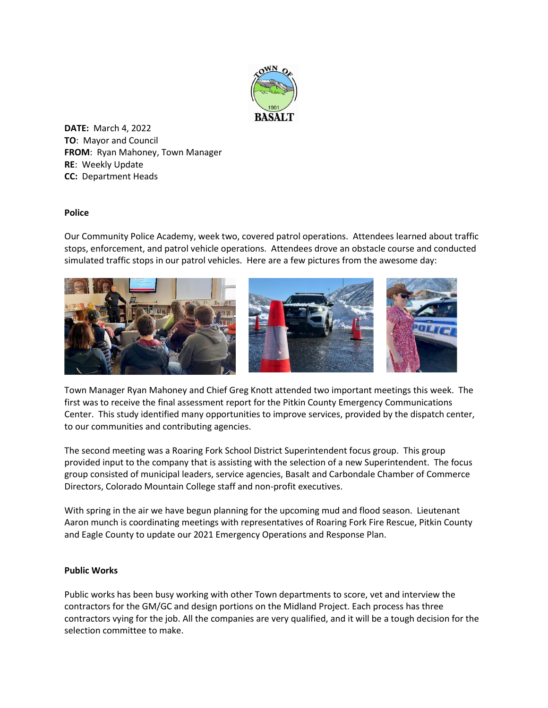

**DATE:** March 4, 2022 **TO**: Mayor and Council **FROM**: Ryan Mahoney, Town Manager **RE**: Weekly Update **CC:** Department Heads

## **Police**

Our Community Police Academy, week two, covered patrol operations. Attendees learned about traffic stops, enforcement, and patrol vehicle operations. Attendees drove an obstacle course and conducted simulated traffic stops in our patrol vehicles. Here are a few pictures from the awesome day:



Town Manager Ryan Mahoney and Chief Greg Knott attended two important meetings this week. The first was to receive the final assessment report for the Pitkin County Emergency Communications Center. This study identified many opportunities to improve services, provided by the dispatch center, to our communities and contributing agencies.

The second meeting was a Roaring Fork School District Superintendent focus group. This group provided input to the company that is assisting with the selection of a new Superintendent. The focus group consisted of municipal leaders, service agencies, Basalt and Carbondale Chamber of Commerce Directors, Colorado Mountain College staff and non-profit executives.

With spring in the air we have begun planning for the upcoming mud and flood season. Lieutenant Aaron munch is coordinating meetings with representatives of Roaring Fork Fire Rescue, Pitkin County and Eagle County to update our 2021 Emergency Operations and Response Plan.

## **Public Works**

Public works has been busy working with other Town departments to score, vet and interview the contractors for the GM/GC and design portions on the Midland Project. Each process has three contractors vying for the job. All the companies are very qualified, and it will be a tough decision for the selection committee to make.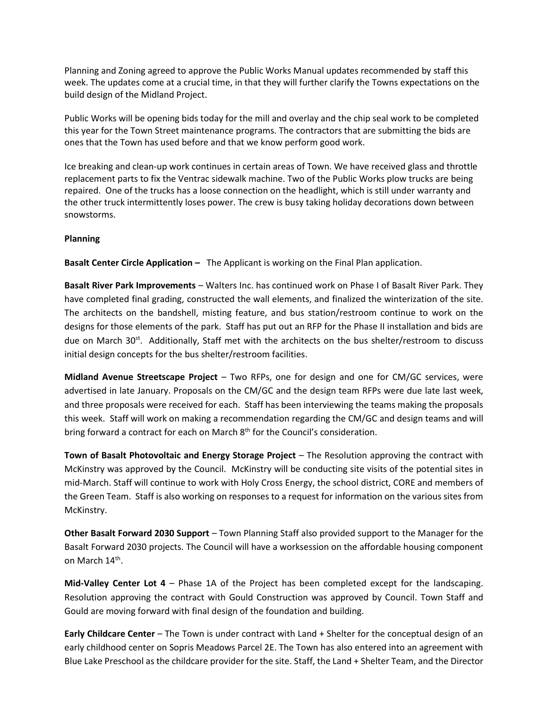Planning and Zoning agreed to approve the Public Works Manual updates recommended by staff this week. The updates come at a crucial time, in that they will further clarify the Towns expectations on the build design of the Midland Project.

Public Works will be opening bids today for the mill and overlay and the chip seal work to be completed this year for the Town Street maintenance programs. The contractors that are submitting the bids are ones that the Town has used before and that we know perform good work.

Ice breaking and clean-up work continues in certain areas of Town. We have received glass and throttle replacement parts to fix the Ventrac sidewalk machine. Two of the Public Works plow trucks are being repaired. One of the trucks has a loose connection on the headlight, which is still under warranty and the other truck intermittently loses power. The crew is busy taking holiday decorations down between snowstorms.

## **Planning**

**Basalt Center Circle Application -** The Applicant is working on the Final Plan application.

**Basalt River Park Improvements** – Walters Inc. has continued work on Phase I of Basalt River Park. They have completed final grading, constructed the wall elements, and finalized the winterization of the site. The architects on the bandshell, misting feature, and bus station/restroom continue to work on the designs for those elements of the park. Staff has put out an RFP for the Phase II installation and bids are due on March 30<sup>st</sup>. Additionally, Staff met with the architects on the bus shelter/restroom to discuss initial design concepts for the bus shelter/restroom facilities.

**Midland Avenue Streetscape Project** – Two RFPs, one for design and one for CM/GC services, were advertised in late January. Proposals on the CM/GC and the design team RFPs were due late last week, and three proposals were received for each. Staff has been interviewing the teams making the proposals this week. Staff will work on making a recommendation regarding the CM/GC and design teams and will bring forward a contract for each on March 8<sup>th</sup> for the Council's consideration.

**Town of Basalt Photovoltaic and Energy Storage Project** – The Resolution approving the contract with McKinstry was approved by the Council. McKinstry will be conducting site visits of the potential sites in mid-March. Staff will continue to work with Holy Cross Energy, the school district, CORE and members of the Green Team. Staff is also working on responses to a request for information on the various sites from McKinstry.

**Other Basalt Forward 2030 Support** – Town Planning Staff also provided support to the Manager for the Basalt Forward 2030 projects. The Council will have a worksession on the affordable housing component on March 14<sup>th</sup>.

**Mid-Valley Center Lot 4** – Phase 1A of the Project has been completed except for the landscaping. Resolution approving the contract with Gould Construction was approved by Council. Town Staff and Gould are moving forward with final design of the foundation and building.

**Early Childcare Center** – The Town is under contract with Land + Shelter for the conceptual design of an early childhood center on Sopris Meadows Parcel 2E. The Town has also entered into an agreement with Blue Lake Preschool as the childcare provider for the site. Staff, the Land + Shelter Team, and the Director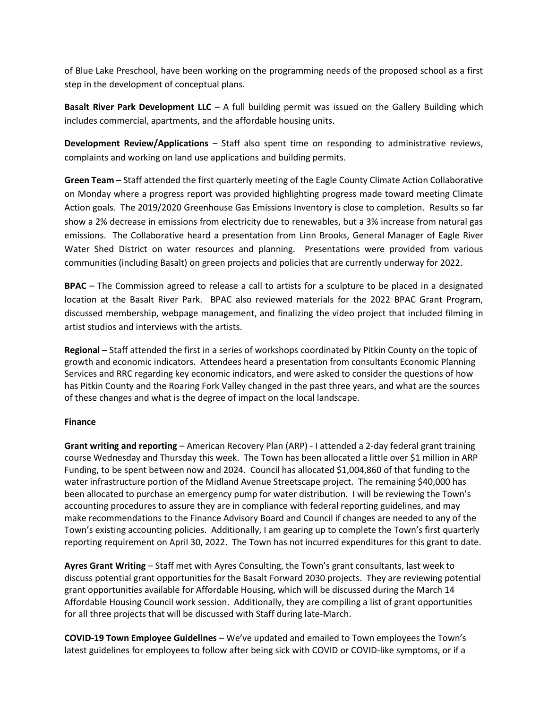of Blue Lake Preschool, have been working on the programming needs of the proposed school as a first step in the development of conceptual plans.

**Basalt River Park Development LLC** – A full building permit was issued on the Gallery Building which includes commercial, apartments, and the affordable housing units.

**Development Review/Applications** – Staff also spent time on responding to administrative reviews, complaints and working on land use applications and building permits.

**Green Team** – Staff attended the first quarterly meeting of the Eagle County Climate Action Collaborative on Monday where a progress report was provided highlighting progress made toward meeting Climate Action goals. The 2019/2020 Greenhouse Gas Emissions Inventory is close to completion. Results so far show a 2% decrease in emissions from electricity due to renewables, but a 3% increase from natural gas emissions. The Collaborative heard a presentation from Linn Brooks, General Manager of Eagle River Water Shed District on water resources and planning. Presentations were provided from various communities (including Basalt) on green projects and policies that are currently underway for 2022.

**BPAC** – The Commission agreed to release a call to artists for a sculpture to be placed in a designated location at the Basalt River Park. BPAC also reviewed materials for the 2022 BPAC Grant Program, discussed membership, webpage management, and finalizing the video project that included filming in artist studios and interviews with the artists.

**Regional –** Staff attended the first in a series of workshops coordinated by Pitkin County on the topic of growth and economic indicators. Attendees heard a presentation from consultants Economic Planning Services and RRC regarding key economic indicators, and were asked to consider the questions of how has Pitkin County and the Roaring Fork Valley changed in the past three years, and what are the sources of these changes and what is the degree of impact on the local landscape.

## **Finance**

**Grant writing and reporting** – American Recovery Plan (ARP) - I attended a 2-day federal grant training course Wednesday and Thursday this week. The Town has been allocated a little over \$1 million in ARP Funding, to be spent between now and 2024. Council has allocated \$1,004,860 of that funding to the water infrastructure portion of the Midland Avenue Streetscape project. The remaining \$40,000 has been allocated to purchase an emergency pump for water distribution. I will be reviewing the Town's accounting procedures to assure they are in compliance with federal reporting guidelines, and may make recommendations to the Finance Advisory Board and Council if changes are needed to any of the Town's existing accounting policies. Additionally, I am gearing up to complete the Town's first quarterly reporting requirement on April 30, 2022. The Town has not incurred expenditures for this grant to date.

**Ayres Grant Writing** – Staff met with Ayres Consulting, the Town's grant consultants, last week to discuss potential grant opportunities for the Basalt Forward 2030 projects. They are reviewing potential grant opportunities available for Affordable Housing, which will be discussed during the March 14 Affordable Housing Council work session. Additionally, they are compiling a list of grant opportunities for all three projects that will be discussed with Staff during late-March.

**COVID-19 Town Employee Guidelines** – We've updated and emailed to Town employees the Town's latest guidelines for employees to follow after being sick with COVID or COVID-like symptoms, or if a